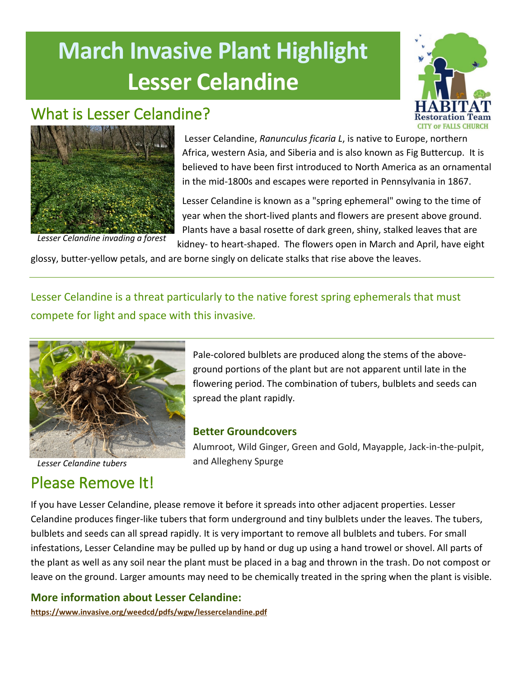# **March Invasive Plant Highlight Lesser Celandine**

## What is Lesser Celandine?





*Lesser Celandine invading a forest*

Lesser Celandine, *Ranunculus ficaria L*, is native to Europe, northern Africa, western Asia, and Siberia and is also known as Fig Buttercup. It is believed to have been first introduced to North America as an ornamental in the mid-1800s and escapes were reported in Pennsylvania in 1867.

Lesser Celandine is known as a "spring ephemeral" owing to the time of year when the short-lived plants and flowers are present above ground. Plants have a basal rosette of dark green, shiny, stalked leaves that are kidney- to heart-shaped. The flowers open in March and April, have eight

glossy, butter-yellow petals, and are borne singly on delicate stalks that rise above the leaves.

Lesser Celandine is a threat particularly to the native forest spring ephemerals that must compete for light and space with this invasive*.* 



*Lesser Celandine tubers*

## Please Remove It!

Pale-colored bulblets are produced along the stems of the aboveground portions of the plant but are not apparent until late in the flowering period. The combination of tubers, bulblets and seeds can spread the plant rapidly.

#### **Better Groundcovers**

Alumroot, Wild Ginger, Green and Gold, Mayapple, Jack-in-the-pulpit, and Allegheny Spurge

If you have Lesser Celandine, please remove it before it spreads into other adjacent properties. Lesser Celandine produces finger-like tubers that form underground and tiny bulblets under the leaves. The tubers, bulblets and seeds can all spread rapidly. It is very important to remove all bulblets and tubers. For small infestations, Lesser Celandine may be pulled up by hand or dug up using a hand trowel or shovel. All parts of the plant as well as any soil near the plant must be placed in a bag and thrown in the trash. Do not compost or leave on the ground. Larger amounts may need to be chemically treated in the spring when the plant is visible.

#### **More information about Lesser Celandine:**

**<https://www.invasive.org/weedcd/pdfs/wgw/lessercelandine.pdf>**